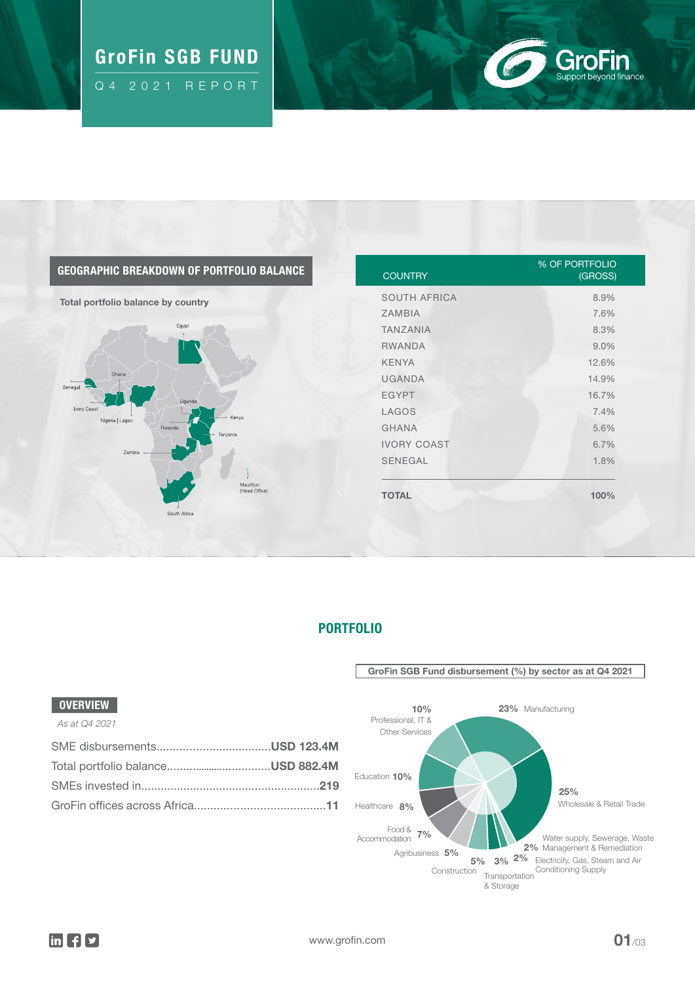# $\mathbb{G}_{\mathbb{Q}}$  GroFin SGB FUND  $\mathbb{Q}_{\mathbb{Q}}$  and  $\mathbb{Q}_{\mathbb{Q}}$

Q4 2021 REPORT

# **GroFin**<br>Support beyond finance  $\sqrt{6}$

### GEOGRAPHIC BREAKDOWN OF PORTFOLIO BALANCE

Total portfolio balance by country



| <b>COUNTRY</b>      | <b>% OF PORTFOLIO</b><br>(GROSS) |
|---------------------|----------------------------------|
| <b>SOUTH AFRICA</b> | 8.9%                             |
| <b>ZAMBIA</b>       | 7.6%                             |
| <b>TANZANIA</b>     | 8.3%                             |
| <b>RWANDA</b>       | 9.0%                             |
| <b>KENYA</b>        | 12.6%                            |
| <b>UGANDA</b>       | 14.9%                            |
| <b>EGYPT</b>        | 16.7%                            |
| LAGOS               | 7.4%                             |
| <b>GHANA</b>        | 5.6%                             |
| <b>IVORY COAST</b>  | 6.7%                             |
| <b>SENEGAL</b>      | 1.8%                             |
| <b>TOTAL</b>        | 100%                             |

PORTFOLIO

#### GroFin SGB Fund disbursement (%) by sector as at Q4 2021 3% 2% Management & Remediation **Transportation** & Storage Water supply, Sewerage, Waste 2% Electricity, Gas, Steam and Air 5% 3% <sup>2%</sup> Electricity, Gas, Steal<br>Construction <sub>Tremportation</sub> Conditioning Supply Food & 7%<br>Accommodation 7% Education 10% Healthcare 8% 10% Professional, IT & Other Services Agribusiness 5% 25% Wholesale & Retail Trade 23% Manufacturing

### **OVERVIEW**

#### *As at Q4 2021*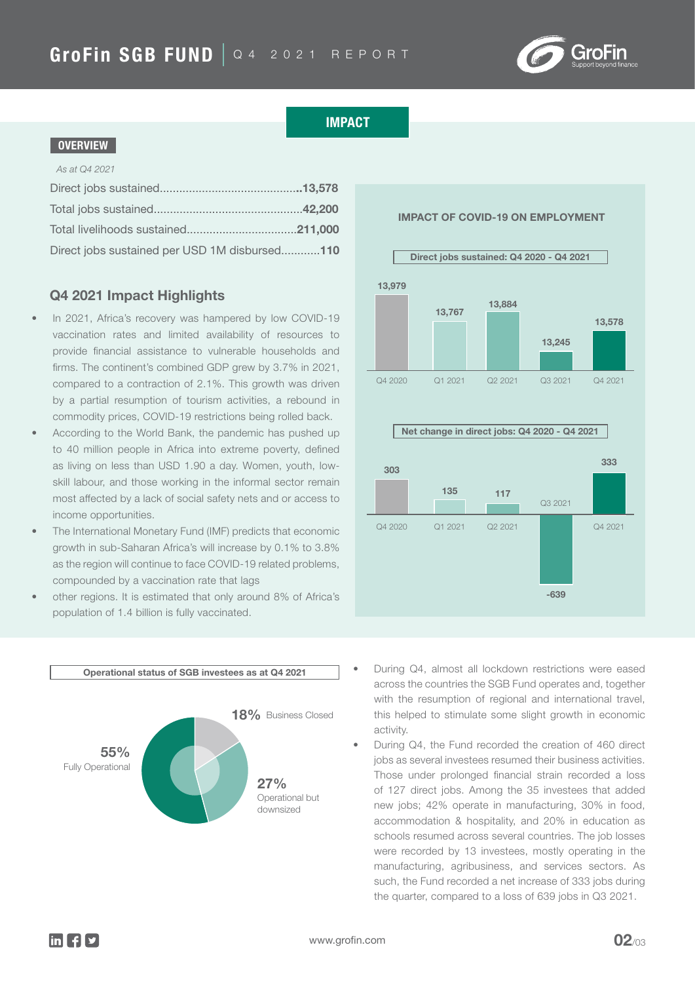

### IMPACT

#### **OVERVIEW**

#### *As at Q4 2021*

| Direct jobs sustained per USD 1M disbursed110 |  |
|-----------------------------------------------|--|

# Q4 2021 Impact Highlights 13,979

- In 2021, Africa's recovery was hampered by low COVID-19 vaccination rates and limited availability of resources to provide financial assistance to vulnerable households and firms. The continent's combined GDP grew by 3.7% in 2021, compared to a contraction of 2.1%. This growth was driven by a partial resumption of tourism activities, a rebound in commodity prices, COVID-19 restrictions being rolled back.
- According to the World Bank, the pandemic has pushed up to 40 million people in Africa into extreme poverty, defined as living on less than USD 1.90 a day. Women, youth, lowskill labour, and those working in the informal sector remain most affected by a lack of social safety nets and or access to income opportunities.
- The International Monetary Fund (IMF) predicts that economic growth in sub-Saharan Africa's will increase by 0.1% to 3.8% as the region will continue to face COVID-19 related problems, compounded by a vaccination rate that lags
- other regions. It is estimated that only around 8% of Africa's population of 1.4 billion is fully vaccinated.





IMPACT OF COVID-19 ON EMPLOYMENT



- During Q4, almost all lockdown restrictions were eased across the countries the SGB Fund operates and, together with the resumption of regional and international travel, this helped to stimulate some slight growth in economic activity.
- During Q4, the Fund recorded the creation of 460 direct jobs as several investees resumed their business activities. Those under prolonged financial strain recorded a loss of 127 direct jobs. Among the 35 investees that added new jobs; 42% operate in manufacturing, 30% in food, accommodation & hospitality, and 20% in education as schools resumed across several countries. The job losses were recorded by 13 investees, mostly operating in the manufacturing, agribusiness, and services sectors. As such, the Fund recorded a net increase of 333 jobs during the quarter, compared to a loss of 639 jobs in Q3 2021.

 $\ln$   $\left| \cdot \right|$   $\sqrt{2}$